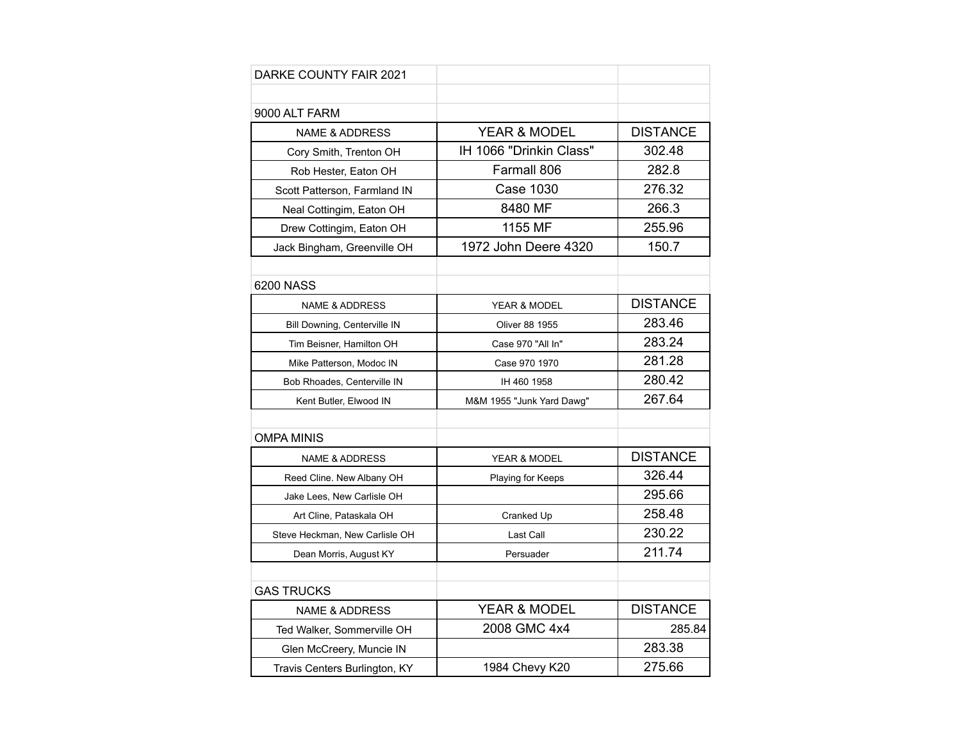| DARKE COUNTY FAIR 2021         |                           |                 |
|--------------------------------|---------------------------|-----------------|
|                                |                           |                 |
| 9000 ALT FARM                  |                           |                 |
| <b>NAME &amp; ADDRESS</b>      | YEAR & MODEL              | <b>DISTANCE</b> |
| Cory Smith, Trenton OH         | IH 1066 "Drinkin Class"   | 302.48          |
| Rob Hester, Eaton OH           | Farmall 806               | 282.8           |
| Scott Patterson, Farmland IN   | <b>Case 1030</b>          | 276.32          |
| Neal Cottingim, Eaton OH       | 8480 MF                   | 266.3           |
| Drew Cottingim, Eaton OH       | 1155 MF                   | 255.96          |
| Jack Bingham, Greenville OH    | 1972 John Deere 4320      | 150.7           |
|                                |                           |                 |
| 6200 NASS                      |                           |                 |
| <b>NAME &amp; ADDRESS</b>      | <b>YEAR &amp; MODEL</b>   | <b>DISTANCE</b> |
| Bill Downing, Centerville IN   | Oliver 88 1955            | 283.46          |
| Tim Beisner, Hamilton OH       | Case 970 "All In"         | 283.24          |
| Mike Patterson, Modoc IN       | Case 970 1970             | 281.28          |
| Bob Rhoades, Centerville IN    | IH 460 1958               | 280.42          |
| Kent Butler, Elwood IN         | M&M 1955 "Junk Yard Dawg" | 267.64          |
|                                |                           |                 |
| <b>OMPA MINIS</b>              |                           |                 |
| <b>NAME &amp; ADDRESS</b>      | YEAR & MODEL              | <b>DISTANCE</b> |
| Reed Cline. New Albany OH      | Playing for Keeps         | 326.44          |
| Jake Lees, New Carlisle OH     |                           | 295.66          |
| Art Cline, Pataskala OH        | Cranked Up                | 258.48          |
| Steve Heckman, New Carlisle OH | Last Call                 | 230.22          |
| Dean Morris, August KY         | Persuader                 | 211.74          |
|                                |                           |                 |
| GAS TRUCKS                     |                           |                 |
| <b>NAME &amp; ADDRESS</b>      | <b>YEAR &amp; MODEL</b>   | <b>DISTANCE</b> |
| Ted Walker, Sommerville OH     | 2008 GMC 4x4              | 285.84          |
| Glen McCreery, Muncie IN       |                           | 283.38          |
| Travis Centers Burlington, KY  | 1984 Chevy K20            | 275.66          |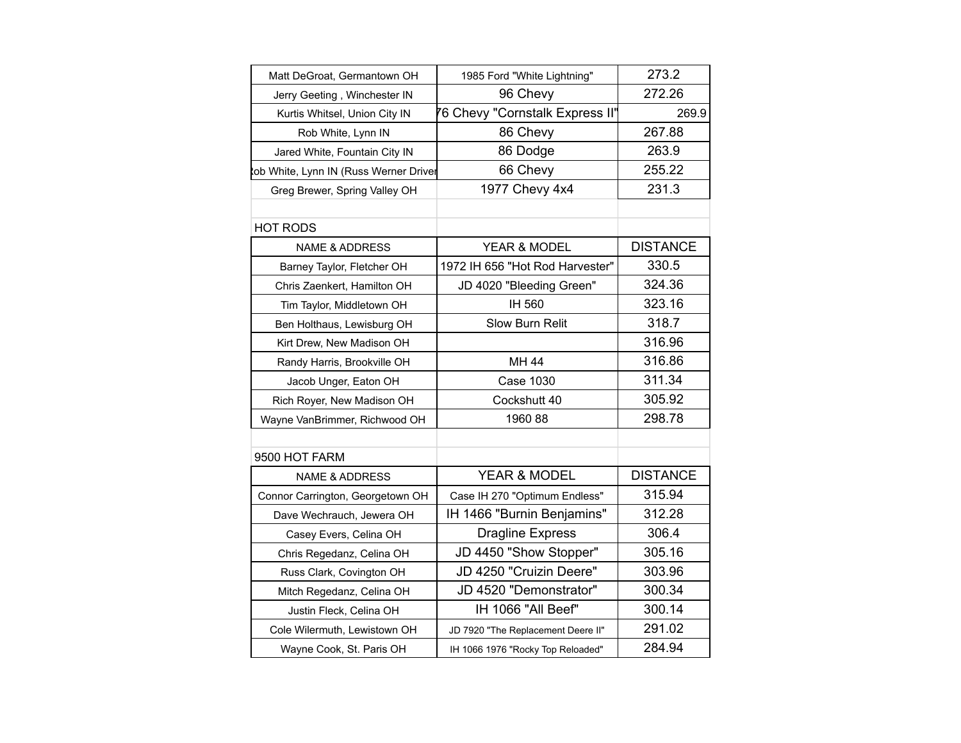| Matt DeGroat, Germantown OH           | 1985 Ford "White Lightning"        | 273.2           |
|---------------------------------------|------------------------------------|-----------------|
| Jerry Geeting, Winchester IN          | 96 Chevy                           | 272.26          |
| Kurtis Whitsel, Union City IN         | 76 Chevy "Cornstalk Express II"    | 269.9           |
| Rob White, Lynn IN                    | 86 Chevy                           | 267.88          |
| Jared White, Fountain City IN         | 86 Dodge                           | 263.9           |
| ob White, Lynn IN (Russ Werner Driver | 66 Chevy                           | 255.22          |
| Greg Brewer, Spring Valley OH         | 1977 Chevy 4x4                     | 231.3           |
|                                       |                                    |                 |
| <b>HOT RODS</b>                       |                                    |                 |
| <b>NAME &amp; ADDRESS</b>             | YEAR & MODEL                       | <b>DISTANCE</b> |
| Barney Taylor, Fletcher OH            | 1972 IH 656 "Hot Rod Harvester"    | 330.5           |
| Chris Zaenkert, Hamilton OH           | JD 4020 "Bleeding Green"           | 324.36          |
| Tim Taylor, Middletown OH             | IH 560                             | 323.16          |
| Ben Holthaus, Lewisburg OH            | Slow Burn Relit                    | 318.7           |
| Kirt Drew, New Madison OH             |                                    | 316.96          |
| Randy Harris, Brookville OH           | MH 44                              | 316.86          |
| Jacob Unger, Eaton OH                 | <b>Case 1030</b>                   | 311.34          |
| Rich Royer, New Madison OH            | Cockshutt 40                       | 305.92          |
| Wayne VanBrimmer, Richwood OH         | 1960 88                            | 298.78          |
|                                       |                                    |                 |
| 9500 HOT FARM                         |                                    |                 |
| <b>NAME &amp; ADDRESS</b>             | YEAR & MODEL                       | <b>DISTANCE</b> |
| Connor Carrington, Georgetown OH      | Case IH 270 "Optimum Endless"      | 315.94          |
| Dave Wechrauch, Jewera OH             | IH 1466 "Burnin Benjamins"         | 312.28          |
| Casey Evers, Celina OH                | <b>Dragline Express</b>            | 306.4           |
| Chris Regedanz, Celina OH             | JD 4450 "Show Stopper"             | 305.16          |
| Russ Clark, Covington OH              | JD 4250 "Cruizin Deere"            | 303.96          |
| Mitch Regedanz, Celina OH             | JD 4520 "Demonstrator"             | 300.34          |
| Justin Fleck, Celina OH               | IH 1066 "All Beef"                 | 300.14          |
| Cole Wilermuth, Lewistown OH          | JD 7920 "The Replacement Deere II" | 291.02          |
| Wayne Cook, St. Paris OH              | IH 1066 1976 "Rocky Top Reloaded"  | 284.94          |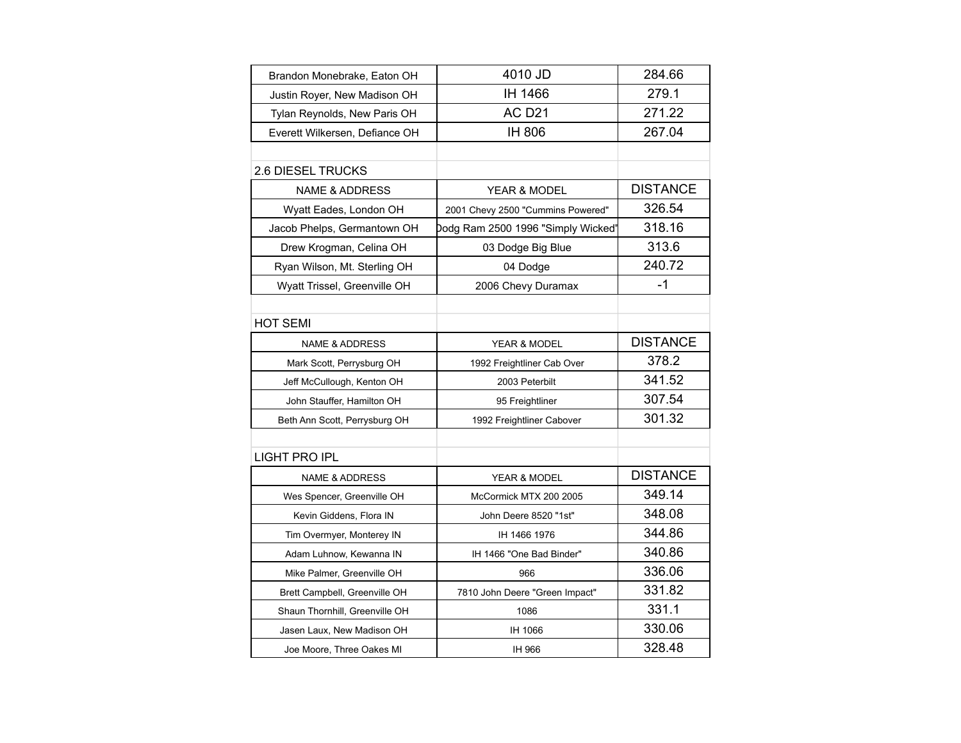| Brandon Monebrake, Eaton OH    | 4010 JD                            | 284.66          |
|--------------------------------|------------------------------------|-----------------|
| Justin Royer, New Madison OH   | IH 1466                            | 279.1           |
| Tylan Reynolds, New Paris OH   | <b>AC D21</b>                      | 271.22          |
| Everett Wilkersen, Defiance OH | IH 806                             | 267.04          |
|                                |                                    |                 |
| 2.6 DIESEL TRUCKS              |                                    |                 |
| <b>NAME &amp; ADDRESS</b>      | <b>YEAR &amp; MODEL</b>            | <b>DISTANCE</b> |
| Wyatt Eades, London OH         | 2001 Chevy 2500 "Cummins Powered"  | 326.54          |
| Jacob Phelps, Germantown OH    | Dodg Ram 2500 1996 "Simply Wicked' | 318.16          |
| Drew Krogman, Celina OH        | 03 Dodge Big Blue                  | 313.6           |
| Ryan Wilson, Mt. Sterling OH   | 04 Dodge                           | 240.72          |
| Wyatt Trissel, Greenville OH   | 2006 Chevy Duramax                 | $-1$            |
|                                |                                    |                 |
| <b>HOT SEMI</b>                |                                    |                 |
| <b>NAME &amp; ADDRESS</b>      | <b>YEAR &amp; MODEL</b>            | <b>DISTANCE</b> |
| Mark Scott, Perrysburg OH      | 1992 Freightliner Cab Over         | 378.2           |
| Jeff McCullough, Kenton OH     | 2003 Peterbilt                     | 341.52          |
| John Stauffer, Hamilton OH     | 95 Freightliner                    | 307.54          |
| Beth Ann Scott, Perrysburg OH  | 1992 Freightliner Cabover          | 301.32          |
|                                |                                    |                 |
| <b>LIGHT PRO IPL</b>           |                                    |                 |
| <b>NAME &amp; ADDRESS</b>      | YEAR & MODEL                       | <b>DISTANCE</b> |
| Wes Spencer, Greenville OH     | McCormick MTX 200 2005             | 349.14          |
| Kevin Giddens, Flora IN        | John Deere 8520 "1st"              | 348.08          |
| Tim Overmyer, Monterey IN      | IH 1466 1976                       | 344.86          |
| Adam Luhnow, Kewanna IN        | IH 1466 "One Bad Binder"           | 340.86          |
| Mike Palmer, Greenville OH     | 966                                | 336.06          |
| Brett Campbell, Greenville OH  | 7810 John Deere "Green Impact"     | 331.82          |
| Shaun Thornhill, Greenville OH | 1086                               | 331.1           |
| Jasen Laux, New Madison OH     | IH 1066                            | 330.06          |
| Joe Moore, Three Oakes MI      | IH 966                             | 328.48          |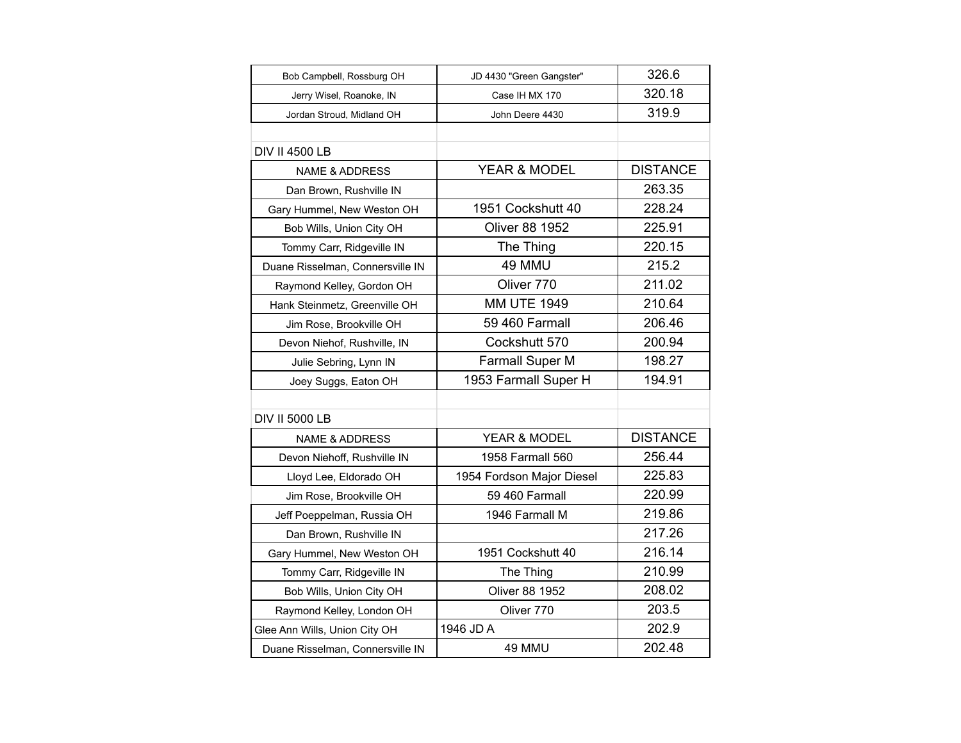| Bob Campbell, Rossburg OH        | JD 4430 "Green Gangster"  | 326.6           |
|----------------------------------|---------------------------|-----------------|
| Jerry Wisel, Roanoke, IN         | Case IH MX 170            | 320.18          |
| Jordan Stroud, Midland OH        | John Deere 4430           | 319.9           |
|                                  |                           |                 |
| <b>DIV II 4500 LB</b>            |                           |                 |
| <b>NAME &amp; ADDRESS</b>        | YEAR & MODEL              | <b>DISTANCE</b> |
| Dan Brown, Rushville IN          |                           | 263.35          |
| Gary Hummel, New Weston OH       | 1951 Cockshutt 40         | 228.24          |
| Bob Wills, Union City OH         | <b>Oliver 88 1952</b>     | 225.91          |
| Tommy Carr, Ridgeville IN        | The Thing                 | 220.15          |
| Duane Risselman, Connersville IN | 49 MMU                    | 215.2           |
| Raymond Kelley, Gordon OH        | Oliver 770                | 211.02          |
| Hank Steinmetz, Greenville OH    | <b>MM UTE 1949</b>        | 210.64          |
| Jim Rose, Brookville OH          | 59 460 Farmall            | 206.46          |
| Devon Niehof, Rushville, IN      | Cockshutt 570             | 200.94          |
| Julie Sebring, Lynn IN           | Farmall Super M           | 198.27          |
| Joey Suggs, Eaton OH             | 1953 Farmall Super H      | 194.91          |
|                                  |                           |                 |
| <b>DIV II 5000 LB</b>            |                           |                 |
| <b>NAME &amp; ADDRESS</b>        | YEAR & MODEL              | <b>DISTANCE</b> |
| Devon Niehoff, Rushville IN      | 1958 Farmall 560          | 256.44          |
| Lloyd Lee, Eldorado OH           | 1954 Fordson Major Diesel | 225.83          |
| Jim Rose, Brookville OH          | 59 460 Farmall            | 220.99          |
| Jeff Poeppelman, Russia OH       | 1946 Farmall M            | 219.86          |
| Dan Brown, Rushville IN          |                           | 217.26          |
| Gary Hummel, New Weston OH       | 1951 Cockshutt 40         | 216.14          |
| Tommy Carr, Ridgeville IN        | The Thing                 | 210.99          |
| Bob Wills, Union City OH         | <b>Oliver 88 1952</b>     | 208.02          |
| Raymond Kelley, London OH        | Oliver 770                | 203.5           |
| Glee Ann Wills, Union City OH    | 1946 JD A                 | 202.9           |
| Duane Risselman, Connersville IN | 49 MMU                    | 202.48          |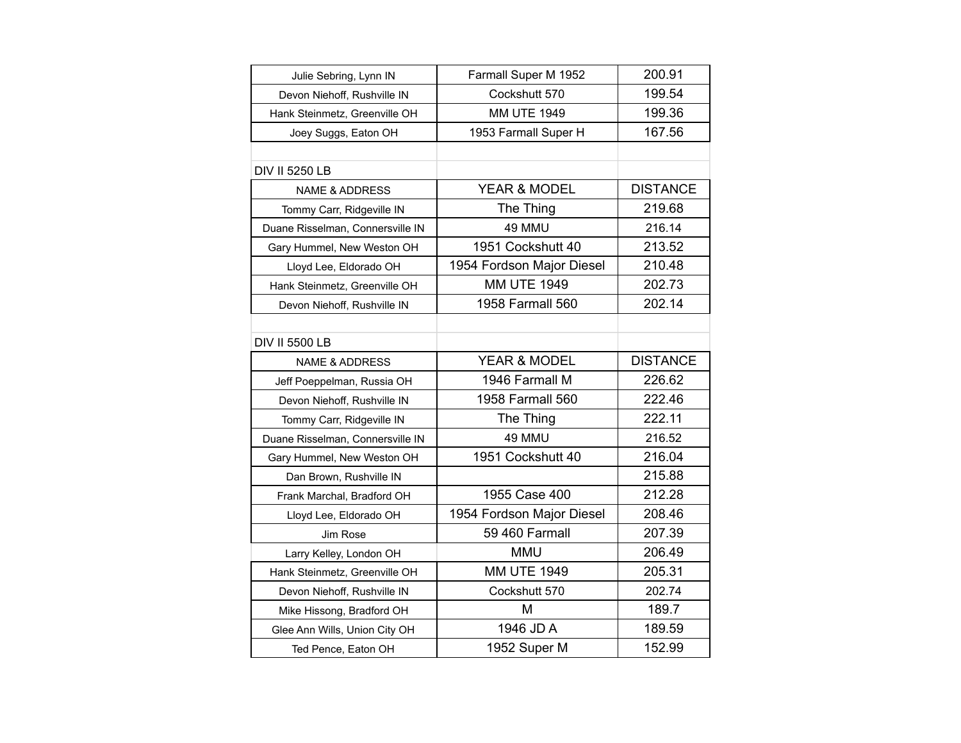| Julie Sebring, Lynn IN           | Farmall Super M 1952      | 200.91          |
|----------------------------------|---------------------------|-----------------|
| Devon Niehoff, Rushville IN      | Cockshutt 570             | 199.54          |
| Hank Steinmetz, Greenville OH    | <b>MM UTE 1949</b>        | 199.36          |
| Joey Suggs, Eaton OH             | 1953 Farmall Super H      | 167.56          |
|                                  |                           |                 |
| <b>DIV II 5250 LB</b>            |                           |                 |
| <b>NAME &amp; ADDRESS</b>        | YEAR & MODEL              | <b>DISTANCE</b> |
| Tommy Carr, Ridgeville IN        | The Thing                 | 219.68          |
| Duane Risselman, Connersville IN | 49 MMU                    | 216.14          |
| Gary Hummel, New Weston OH       | 1951 Cockshutt 40         | 213.52          |
| Lloyd Lee, Eldorado OH           | 1954 Fordson Major Diesel | 210.48          |
| Hank Steinmetz, Greenville OH    | <b>MM UTE 1949</b>        | 202.73          |
| Devon Niehoff, Rushville IN      | 1958 Farmall 560          | 202.14          |
|                                  |                           |                 |
| <b>DIV II 5500 LB</b>            |                           |                 |
| <b>NAME &amp; ADDRESS</b>        | YEAR & MODEL              | <b>DISTANCE</b> |
| Jeff Poeppelman, Russia OH       | 1946 Farmall M            | 226.62          |
| Devon Niehoff, Rushville IN      | 1958 Farmall 560          | 222.46          |
| Tommy Carr, Ridgeville IN        | The Thing                 | 222.11          |
| Duane Risselman, Connersville IN | 49 MMU                    | 216.52          |
| Gary Hummel, New Weston OH       | 1951 Cockshutt 40         | 216.04          |
| Dan Brown, Rushville IN          |                           | 215.88          |
| Frank Marchal, Bradford OH       | 1955 Case 400             | 212.28          |
| Lloyd Lee, Eldorado OH           | 1954 Fordson Major Diesel | 208.46          |
| Jim Rose                         | 59 460 Farmall            | 207.39          |
| Larry Kelley, London OH          | <b>MMU</b>                | 206.49          |
| Hank Steinmetz, Greenville OH    | <b>MM UTE 1949</b>        | 205.31          |
| Devon Niehoff, Rushville IN      | Cockshutt 570             | 202.74          |
| Mike Hissong, Bradford OH        | M                         | 189.7           |
| Glee Ann Wills, Union City OH    | 1946 JD A                 | 189.59          |
| Ted Pence, Eaton OH              | 1952 Super M              | 152.99          |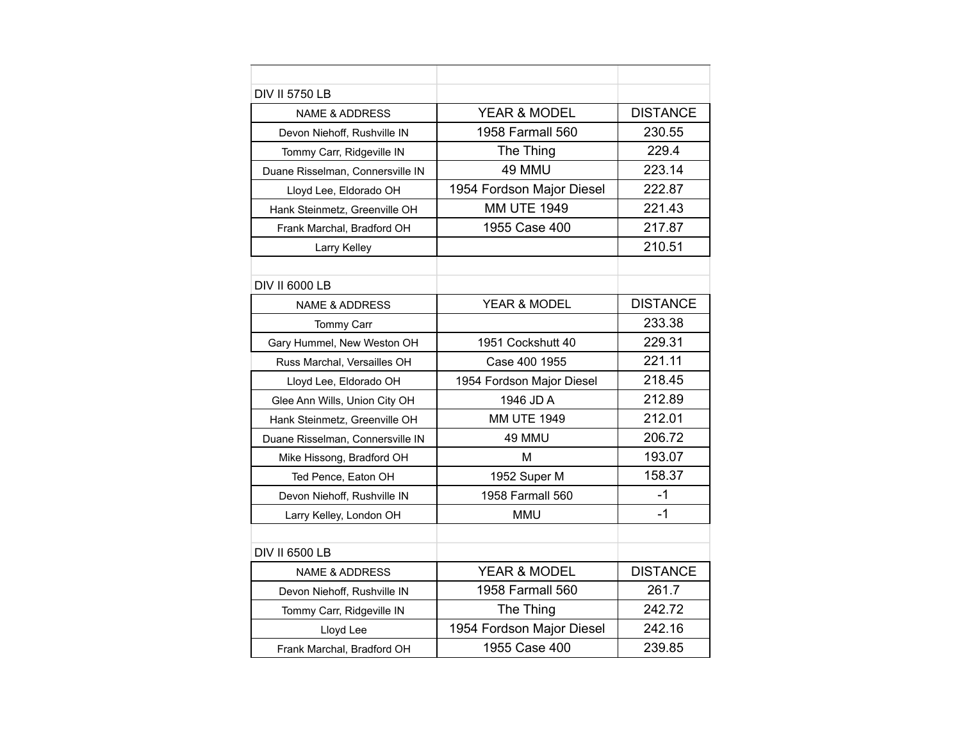| <b>DIV II 5750 LB</b>            |                           |                 |
|----------------------------------|---------------------------|-----------------|
| <b>NAME &amp; ADDRESS</b>        | YEAR & MODEL              | <b>DISTANCE</b> |
| Devon Niehoff, Rushville IN      | 1958 Farmall 560          | 230.55          |
| Tommy Carr, Ridgeville IN        | The Thing                 | 229.4           |
| Duane Risselman, Connersville IN | 49 MMU                    | 223.14          |
| Lloyd Lee, Eldorado OH           | 1954 Fordson Major Diesel | 222.87          |
| Hank Steinmetz, Greenville OH    | <b>MM UTE 1949</b>        | 221.43          |
| Frank Marchal, Bradford OH       | 1955 Case 400             | 217.87          |
| Larry Kelley                     |                           | 210.51          |
|                                  |                           |                 |
| <b>DIV II 6000 LB</b>            |                           |                 |
| <b>NAME &amp; ADDRESS</b>        | YEAR & MODEL              | <b>DISTANCE</b> |
| <b>Tommy Carr</b>                |                           | 233.38          |
| Gary Hummel, New Weston OH       | 1951 Cockshutt 40         | 229.31          |
| Russ Marchal, Versailles OH      | Case 400 1955             | 221.11          |
| Lloyd Lee, Eldorado OH           | 1954 Fordson Major Diesel | 218.45          |
| Glee Ann Wills, Union City OH    | 1946 JD A                 | 212.89          |
| Hank Steinmetz, Greenville OH    | <b>MM UTE 1949</b>        | 212.01          |
| Duane Risselman, Connersville IN | 49 MMU                    | 206.72          |
| Mike Hissong, Bradford OH        | М                         | 193.07          |
| Ted Pence, Eaton OH              | 1952 Super M              | 158.37          |
| Devon Niehoff, Rushville IN      | 1958 Farmall 560          | $-1$            |
| Larry Kelley, London OH          | MMU                       | $-1$            |
|                                  |                           |                 |
| <b>DIV II 6500 LB</b>            |                           |                 |
| <b>NAME &amp; ADDRESS</b>        | <b>YEAR &amp; MODEL</b>   | <b>DISTANCE</b> |
| Devon Niehoff, Rushville IN      | 1958 Farmall 560          | 261.7           |
| Tommy Carr, Ridgeville IN        | The Thing                 | 242.72          |
| Lloyd Lee                        | 1954 Fordson Major Diesel | 242.16          |
| Frank Marchal, Bradford OH       | 1955 Case 400             | 239.85          |